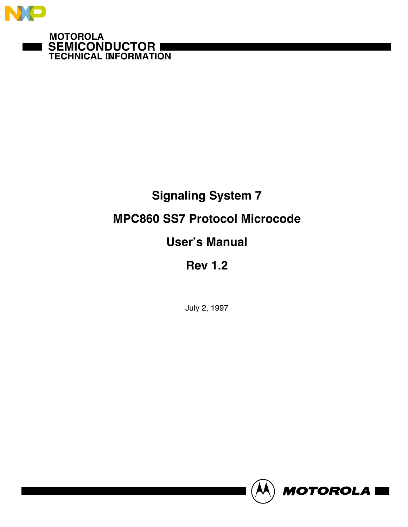

**SEMICONDUCTOR TECHNICAL INFORMATION**

# **Signaling System 7**

## **MPC860 SS7 Protocol Microcode**

# **User's Manual**

# **Rev 1.2**

July 2, 1997

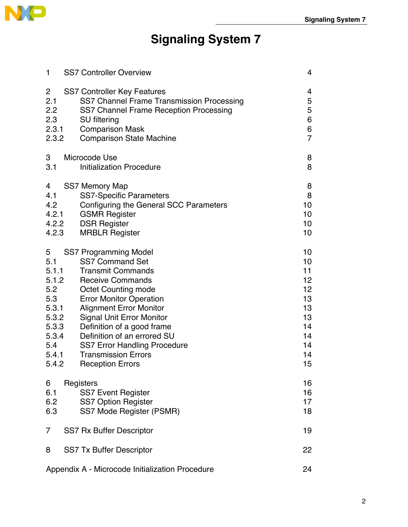

# **Signaling System 7**

| 1              | <b>SS7 Controller Overview</b>                  | 4              |
|----------------|-------------------------------------------------|----------------|
| $\overline{2}$ | <b>SS7 Controller Key Features</b>              | 4              |
| 2.1            | SS7 Channel Frame Transmission Processing       | 5              |
| 2.2            | SS7 Channel Frame Reception Processing          | 5              |
| 2.3            | <b>SU</b> filtering                             | 6              |
| 2.3.1          | <b>Comparison Mask</b>                          | 6              |
| 2.3.2          | <b>Comparison State Machine</b>                 | $\overline{7}$ |
| 3              | Microcode Use                                   | 8              |
| 3.1            | <b>Initialization Procedure</b>                 | 8              |
| 4              | <b>SS7 Memory Map</b>                           | 8              |
| 4.1            | <b>SS7-Specific Parameters</b>                  | 8              |
| 4.2            | <b>Configuring the General SCC Parameters</b>   | 10             |
| 4.2.1          | <b>GSMR Register</b>                            | 10             |
| 4.2.2          | <b>DSR Register</b>                             | 10             |
| 4.2.3          | <b>MRBLR Register</b>                           | 10             |
| 5              | <b>SS7 Programming Model</b>                    | 10             |
| 5.1            | <b>SS7 Command Set</b>                          | 10             |
| 5.1.1          | <b>Transmit Commands</b>                        | 11             |
| 5.1.2          | <b>Receive Commands</b>                         | 12             |
| 5.2            | <b>Octet Counting mode</b>                      | 12             |
| 5.3            | <b>Error Monitor Operation</b>                  | 13             |
| 5.3.1          | <b>Alignment Error Monitor</b>                  | 13             |
| 5.3.2          | <b>Signal Unit Error Monitor</b>                | 13             |
| 5.3.3          | Definition of a good frame                      | 14             |
| 5.3.4          | Definition of an errored SU                     | 14             |
| 5.4            | <b>SS7 Error Handling Procedure</b>             | 14             |
| 5.4.1          | <b>Transmission Errors</b>                      | 14             |
| 5.4.2          | <b>Reception Errors</b>                         | 15             |
| 6              | Registers                                       | 16             |
| 6.1            | <b>SS7 Event Register</b>                       | 16             |
| 6.2            | <b>SS7 Option Register</b>                      | 17             |
| 6.3            | SS7 Mode Register (PSMR)                        | 18             |
| 7              | SS7 Rx Buffer Descriptor                        | 19             |
| 8              | <b>SS7 Tx Buffer Descriptor</b>                 | 22             |
|                | Appendix A - Microcode Initialization Procedure | 24             |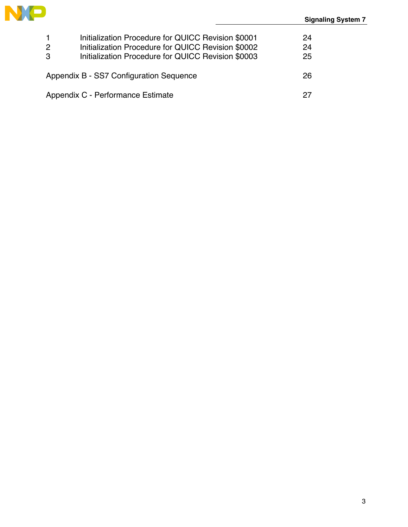

| $\mathbf 1$<br>2<br>3                         | Initialization Procedure for QUICC Revision \$0001<br>Initialization Procedure for QUICC Revision \$0002<br>Initialization Procedure for QUICC Revision \$0003 | 24<br>24<br>25 |  |  |  |  |  |
|-----------------------------------------------|----------------------------------------------------------------------------------------------------------------------------------------------------------------|----------------|--|--|--|--|--|
| Appendix B - SS7 Configuration Sequence<br>26 |                                                                                                                                                                |                |  |  |  |  |  |
| Appendix C - Performance Estimate             |                                                                                                                                                                |                |  |  |  |  |  |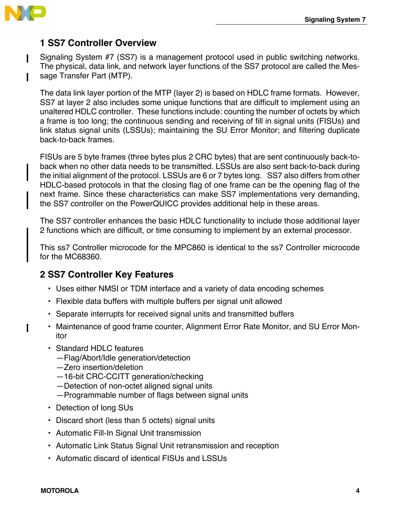

Ι

 $\mathbf I$ 

## **1 SS7 Controller Overview**

Signaling System #7 (SS7) is a management protocol used in public switching networks. The physical, data link, and network layer functions of the SS7 protocol are called the Message Transfer Part (MTP).

The data link layer portion of the MTP (layer 2) is based on HDLC frame formats. However, SS7 at layer 2 also includes some unique functions that are difficult to implement using an unaltered HDLC controller. These functions include: counting the number of octets by which a frame is too long; the continuous sending and receiving of fill in signal units (FISUs) and link status signal units (LSSUs); maintaining the SU Error Monitor; and filtering duplicate back-to-back frames.

FISUs are 5 byte frames (three bytes plus 2 CRC bytes) that are sent continuously back-toback when no other data needs to be transmitted. LSSUs are also sent back-to-back during the initial alignment of the protocol. LSSUs are 6 or 7 bytes long. SS7 also differs from other HDLC-based protocols in that the closing flag of one frame can be the opening flag of the next frame. Since these characteristics can make SS7 implementations very demanding, the SS7 controller on the PowerQUICC provides additional help in these areas.

The SS7 controller enhances the basic HDLC functionality to include those additional layer 2 functions which are difficult, or time consuming to implement by an external processor.

This ss7 Controller microcode for the MPC860 is identical to the ss7 Controller microcode for the MC68360.

### **2 SS7 Controller Key Features**

- Uses either NMSI or TDM interface and a variety of data encoding schemes
- Flexible data buffers with multiple buffers per signal unit allowed
- Separate interrupts for received signal units and transmitted buffers
- Maintenance of good frame counter, Alignment Error Rate Monitor, and SU Error Monitor
- Standard HDLC features
	- —Flag/Abort/Idle generation/detection
	- —Zero insertion/deletion
	- —16-bit CRC-CCITT generation/checking
	- —Detection of non-octet aligned signal units
	- —Programmable number of flags between signal units
- Detection of long SUs
- Discard short (less than 5 octets) signal units
- Automatic Fill-In Signal Unit transmission
- Automatic Link Status Signal Unit retransmission and reception
- Automatic discard of identical FISUs and LSSUs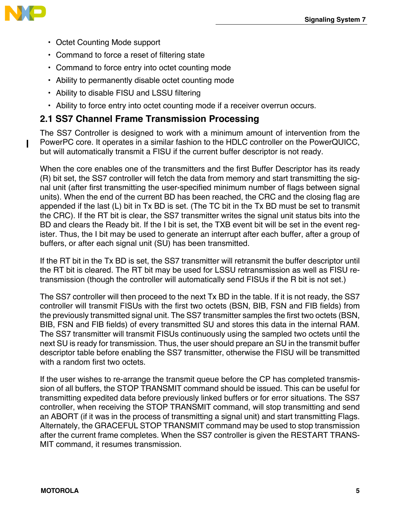

- Octet Counting Mode support
- Command to force a reset of filtering state
- Command to force entry into octet counting mode
- Ability to permanently disable octet counting mode
- Ability to disable FISU and LSSU filtering
- Ability to force entry into octet counting mode if a receiver overrun occurs.

### **2.1 SS7 Channel Frame Transmission Processing**

The SS7 Controller is designed to work with a minimum amount of intervention from the PowerPC core. It operates in a similar fashion to the HDLC controller on the PowerQUICC, but will automatically transmit a FISU if the current buffer descriptor is not ready.

When the core enables one of the transmitters and the first Buffer Descriptor has its ready (R) bit set, the SS7 controller will fetch the data from memory and start transmitting the signal unit (after first transmitting the user-specified minimum number of flags between signal units). When the end of the current BD has been reached, the CRC and the closing flag are appended if the last (L) bit in Tx BD is set. (The TC bit in the Tx BD must be set to transmit the CRC). If the RT bit is clear, the SS7 transmitter writes the signal unit status bits into the BD and clears the Ready bit. If the I bit is set, the TXB event bit will be set in the event register. Thus, the I bit may be used to generate an interrupt after each buffer, after a group of buffers, or after each signal unit (SU) has been transmitted.

If the RT bit in the Tx BD is set, the SS7 transmitter will retransmit the buffer descriptor until the RT bit is cleared. The RT bit may be used for LSSU retransmission as well as FISU retransmission (though the controller will automatically send FISUs if the R bit is not set.)

The SS7 controller will then proceed to the next Tx BD in the table. If it is not ready, the SS7 controller will transmit FISUs with the first two octets (BSN, BIB, FSN and FIB fields) from the previously transmitted signal unit. The SS7 transmitter samples the first two octets (BSN, BIB, FSN and FIB fields) of every transmitted SU and stores this data in the internal RAM. The SS7 transmitter will transmit FISUs continuously using the sampled two octets until the next SU is ready for transmission. Thus, the user should prepare an SU in the transmit buffer descriptor table before enabling the SS7 transmitter, otherwise the FISU will be transmitted with a random first two octets.

If the user wishes to re-arrange the transmit queue before the CP has completed transmission of all buffers, the STOP TRANSMIT command should be issued. This can be useful for transmitting expedited data before previously linked buffers or for error situations. The SS7 controller, when receiving the STOP TRANSMIT command, will stop transmitting and send an ABORT (if it was in the process of transmitting a signal unit) and start transmitting Flags. Alternately, the GRACEFUL STOP TRANSMIT command may be used to stop transmission after the current frame completes. When the SS7 controller is given the RESTART TRANS-MIT command, it resumes transmission.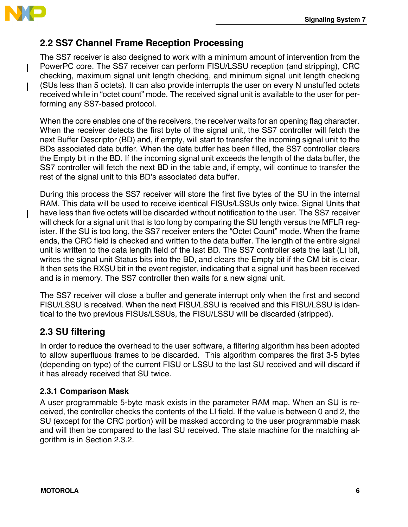

Ι

## **2.2 SS7 Channel Frame Reception Processing**

The SS7 receiver is also designed to work with a minimum amount of intervention from the PowerPC core. The SS7 receiver can perform FISU/LSSU reception (and stripping), CRC checking, maximum signal unit length checking, and minimum signal unit length checking (SUs less than 5 octets). It can also provide interrupts the user on every N unstuffed octets received while in "octet count" mode. The received signal unit is available to the user for performing any SS7-based protocol.

When the core enables one of the receivers, the receiver waits for an opening flag character. When the receiver detects the first byte of the signal unit, the SS7 controller will fetch the next Buffer Descriptor (BD) and, if empty, will start to transfer the incoming signal unit to the BDs associated data buffer. When the data buffer has been filled, the SS7 controller clears the Empty bit in the BD. If the incoming signal unit exceeds the length of the data buffer, the SS7 controller will fetch the next BD in the table and, if empty, will continue to transfer the rest of the signal unit to this BD's associated data buffer.

During this process the SS7 receiver will store the first five bytes of the SU in the internal RAM. This data will be used to receive identical FISUs/LSSUs only twice. Signal Units that have less than five octets will be discarded without notification to the user. The SS7 receiver will check for a signal unit that is too long by comparing the SU length versus the MFLR register. If the SU is too long, the SS7 receiver enters the "Octet Count" mode. When the frame ends, the CRC field is checked and written to the data buffer. The length of the entire signal unit is written to the data length field of the last BD. The SS7 controller sets the last (L) bit, writes the signal unit Status bits into the BD, and clears the Empty bit if the CM bit is clear. It then sets the RXSU bit in the event register, indicating that a signal unit has been received and is in memory. The SS7 controller then waits for a new signal unit.

The SS7 receiver will close a buffer and generate interrupt only when the first and second FISU/LSSU is received. When the next FISU/LSSU is received and this FISU/LSSU is identical to the two previous FISUs/LSSUs, the FISU/LSSU will be discarded (stripped).

### **2.3 SU filtering**

In order to reduce the overhead to the user software, a filtering algorithm has been adopted to allow superfluous frames to be discarded. This algorithm compares the first 3-5 bytes (depending on type) of the current FISU or LSSU to the last SU received and will discard if it has already received that SU twice.

### **2.3.1 Comparison Mask**

A user programmable 5-byte mask exists in the parameter RAM map. When an SU is received, the controller checks the contents of the LI field. If the value is between 0 and 2, the SU (except for the CRC portion) will be masked according to the user programmable mask and will then be compared to the last SU received. The state machine for the matching algorithm is in Section 2.3.2.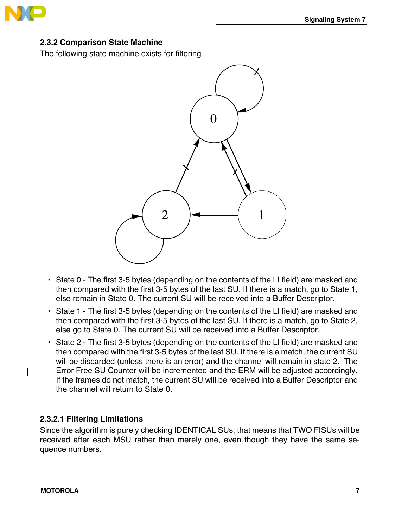

### **2.3.2 Comparison State Machine**

The following state machine exists for filtering



- State 0 The first 3-5 bytes (depending on the contents of the LI field) are masked and then compared with the first 3-5 bytes of the last SU. If there is a match, go to State 1, else remain in State 0. The current SU will be received into a Buffer Descriptor.
- State 1 The first 3-5 bytes (depending on the contents of the LI field) are masked and then compared with the first 3-5 bytes of the last SU. If there is a match, go to State 2, else go to State 0. The current SU will be received into a Buffer Descriptor.
- State 2 The first 3-5 bytes (depending on the contents of the LI field) are masked and then compared with the first 3-5 bytes of the last SU. If there is a match, the current SU will be discarded (unless there is an error) and the channel will remain in state 2. The Error Free SU Counter will be incremented and the ERM will be adjusted accordingly. If the frames do not match, the current SU will be received into a Buffer Descriptor and the channel will return to State 0.

### **2.3.2.1 Filtering Limitations**

Since the algorithm is purely checking IDENTICAL SUs, that means that TWO FISUs will be received after each MSU rather than merely one, even though they have the same sequence numbers.

 $\mathbf I$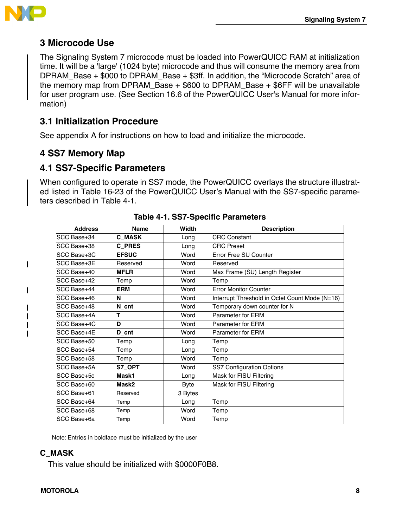

 $\blacksquare$ 

П

П  $\mathbf I$  $\blacksquare$  $\mathbf I$ 

### **3 Microcode Use**

The Signaling System 7 microcode must be loaded into PowerQUICC RAM at initialization time. It will be a 'large' (1024 byte) microcode and thus will consume the memory area from DPRAM\_Base + \$000 to DPRAM\_Base + \$3ff. In addition, the "Microcode Scratch" area of the memory map from DPRAM Base  $+$  \$600 to DPRAM Base  $+$  \$6FF will be unavailable for user program use. (See Section 16.6 of the PowerQUICC User's Manual for more information)

### **3.1 Initialization Procedure**

See appendix A for instructions on how to load and initialize the microcode.

### **4 SS7 Memory Map**

### **4.1 SS7-Specific Parameters**

When configured to operate in SS7 mode, the PowerQUICC overlays the structure illustrated listed in Table 16-23 of the PowerQUICC User's Manual with the SS7-specific parameters described in Table 4-1.

| <b>Address</b> | <b>Name</b>     | Width       | <b>Description</b>                             |
|----------------|-----------------|-------------|------------------------------------------------|
| SCC Base+34    | <b>C MASK</b>   | Long        | <b>CRC Constant</b>                            |
| SCC Base+38    | <b>C PRES</b>   | Long        | <b>CRC</b> Preset                              |
| SCC Base+3C    | <b>EFSUC</b>    | Word        | Frror Free SU Counter                          |
| SCC Base+3E    | Reserved        | Word        | Reserved                                       |
| SCC Base+40    | <b>MFLR</b>     | Word        | Max Frame (SU) Length Register                 |
| SCC Base+42    | Temp            | Word        | Temp                                           |
| SCC Base+44    | <b>ERM</b>      | Word        | <b>Error Monitor Counter</b>                   |
| SCC Base+46    | ΙN              | Word        | Interrupt Threshold in Octet Count Mode (N=16) |
| SCC Base+48    | $\mathsf N$ cnt | Word        | Temporary down counter for N                   |
| SCC Base+4A    | т               | Word        | <b>Parameter for ERM</b>                       |
| SCC Base+4C    | D               | Word        | <b>Parameter for FRM</b>                       |
| SCC Base+4E    | D cnt           | Word        | Parameter for ERM                              |
| SCC Base+50    | Temp            | Long        | Temp                                           |
| SCC Base+54    | Temp            | Long        | Temp                                           |
| SCC Base+58    | Temp            | Word        | Temp                                           |
| SCC Base+5A    | S7 OPT          | Word        | SS7 Configuration Options                      |
| SCC Base+5c    | Mask1           | Long        | Mask for FISU Filtering                        |
| SCC Base+60    | Mask2           | <b>Byte</b> | Mask for FISU Filtering                        |
| SCC Base+61    | Reserved        | 3 Bytes     |                                                |
| SCC Base+64    | Temp            | Long        | Temp                                           |
| SCC Base+68    | Temp            | Word        | Temp                                           |
| SCC Base+6a    | Temp            | Word        | Temp                                           |

|  | Table 4-1. SS7-Specific Parameters |  |
|--|------------------------------------|--|
|--|------------------------------------|--|

Note: Entries in boldface must be initialized by the user

### **C\_MASK**

This value should be initialized with \$0000F0B8.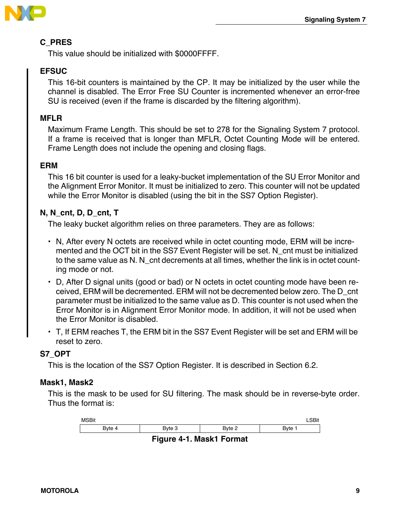

### **C\_PRES**

This value should be initialized with \$0000FFFF.

### **EFSUC**

This 16-bit counters is maintained by the CP. It may be initialized by the user while the channel is disabled. The Error Free SU Counter is incremented whenever an error-free SU is received (even if the frame is discarded by the filtering algorithm).

### **MFLR**

Maximum Frame Length. This should be set to 278 for the Signaling System 7 protocol. If a frame is received that is longer than MFLR, Octet Counting Mode will be entered. Frame Length does not include the opening and closing flags.

### **ERM**

This 16 bit counter is used for a leaky-bucket implementation of the SU Error Monitor and the Alignment Error Monitor. It must be initialized to zero. This counter will not be updated while the Error Monitor is disabled (using the bit in the SS7 Option Register).

### **N, N\_cnt, D, D\_cnt, T**

The leaky bucket algorithm relies on three parameters. They are as follows:

- N, After every N octets are received while in octet counting mode, ERM will be incremented and the OCT bit in the SS7 Event Register will be set. N\_cnt must be initialized to the same value as N. N\_cnt decrements at all times, whether the link is in octet counting mode or not.
- D, After D signal units (good or bad) or N octets in octet counting mode have been received, ERM will be decremented. ERM will not be decremented below zero. The D\_cnt parameter must be initialized to the same value as D. This counter is not used when the Error Monitor is in Alignment Error Monitor mode. In addition, it will not be used when the Error Monitor is disabled.
- T, If ERM reaches T, the ERM bit in the SS7 Event Register will be set and ERM will be reset to zero.

### **S7\_OPT**

This is the location of the SS7 Option Register. It is described in Section 6.2.

### **Mask1, Mask2**

This is the mask to be used for SU filtering. The mask should be in reverse-byte order. Thus the format is:

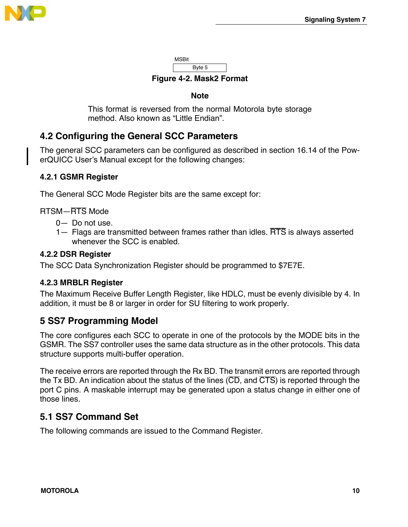

**MSBit** Byte 5

**Figure 4-2. Mask2 Format**

### **Note**

This format is reversed from the normal Motorola byte storage method. Also known as "Little Endian".

## **4.2 Configuring the General SCC Parameters**

The general SCC parameters can be configured as described in section 16.14 of the PowerQUICC User's Manual except for the following changes:

### **4.2.1 GSMR Register**

The General SCC Mode Register bits are the same except for:

RTSM—RTS Mode

- 0— Do not use.
- 1— Flags are transmitted between frames rather than idles.  $\overline{\text{RTS}}$  is always asserted whenever the SCC is enabled.

### **4.2.2 DSR Register**

The SCC Data Synchronization Register should be programmed to \$7E7E.

### **4.2.3 MRBLR Register**

The Maximum Receive Buffer Length Register, like HDLC, must be evenly divisible by 4. In addition, it must be 8 or larger in order for SU filtering to work properly.

### **5 SS7 Programming Model**

The core configures each SCC to operate in one of the protocols by the MODE bits in the GSMR. The SS7 controller uses the same data structure as in the other protocols. This data structure supports multi-buffer operation.

The receive errors are reported through the Rx BD. The transmit errors are reported through the Tx BD. An indication about the status of the lines ( $\overline{CD}$ , and  $\overline{CTS}$ ) is reported through the port C pins. A maskable interrupt may be generated upon a status change in either one of those lines.

### **5.1 SS7 Command Set**

The following commands are issued to the Command Register.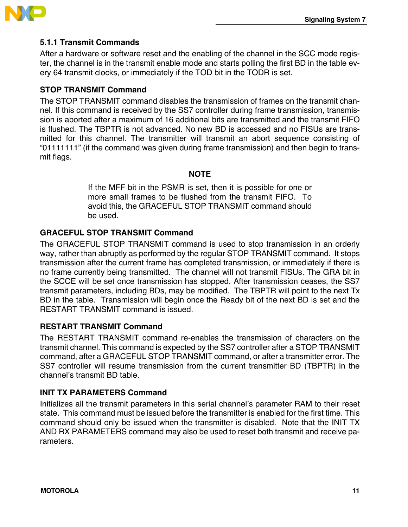



### **5.1.1 Transmit Commands**

After a hardware or software reset and the enabling of the channel in the SCC mode register, the channel is in the transmit enable mode and starts polling the first BD in the table every 64 transmit clocks, or immediately if the TOD bit in the TODR is set.

### **STOP TRANSMIT Command**

The STOP TRANSMIT command disables the transmission of frames on the transmit channel. If this command is received by the SS7 controller during frame transmission, transmission is aborted after a maximum of 16 additional bits are transmitted and the transmit FIFO is flushed. The TBPTR is not advanced. No new BD is accessed and no FISUs are transmitted for this channel. The transmitter will transmit an abort sequence consisting of "01111111" (if the command was given during frame transmission) and then begin to transmit flags.

### **NOTE**

If the MFF bit in the PSMR is set, then it is possible for one or more small frames to be flushed from the transmit FIFO. To avoid this, the GRACEFUL STOP TRANSMIT command should be used.

### **GRACEFUL STOP TRANSMIT Command**

The GRACEFUL STOP TRANSMIT command is used to stop transmission in an orderly way, rather than abruptly as performed by the regular STOP TRANSMIT command. It stops transmission after the current frame has completed transmission, or immediately if there is no frame currently being transmitted. The channel will not transmit FISUs. The GRA bit in the SCCE will be set once transmission has stopped. After transmission ceases, the SS7 transmit parameters, including BDs, may be modified. The TBPTR will point to the next Tx BD in the table. Transmission will begin once the Ready bit of the next BD is set and the RESTART TRANSMIT command is issued.

### **RESTART TRANSMIT Command**

The RESTART TRANSMIT command re-enables the transmission of characters on the transmit channel. This command is expected by the SS7 controller after a STOP TRANSMIT command, after a GRACEFUL STOP TRANSMIT command, or after a transmitter error. The SS7 controller will resume transmission from the current transmitter BD (TBPTR) in the channel's transmit BD table.

### **INIT TX PARAMETERS Command**

Initializes all the transmit parameters in this serial channel's parameter RAM to their reset state. This command must be issued before the transmitter is enabled for the first time. This command should only be issued when the transmitter is disabled. Note that the INIT TX AND RX PARAMETERS command may also be used to reset both transmit and receive parameters.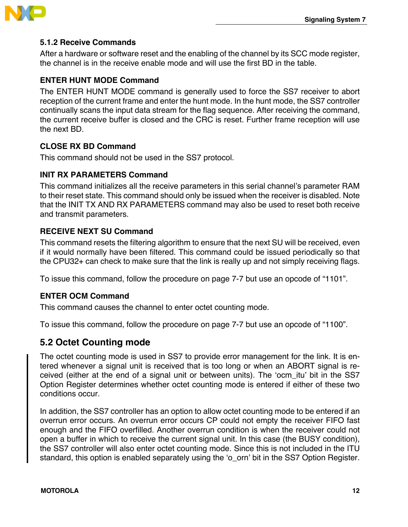

### **5.1.2 Receive Commands**

After a hardware or software reset and the enabling of the channel by its SCC mode register, the channel is in the receive enable mode and will use the first BD in the table.

### **ENTER HUNT MODE Command**

The ENTER HUNT MODE command is generally used to force the SS7 receiver to abort reception of the current frame and enter the hunt mode. In the hunt mode, the SS7 controller continually scans the input data stream for the flag sequence. After receiving the command, the current receive buffer is closed and the CRC is reset. Further frame reception will use the next BD.

### **CLOSE RX BD Command**

This command should not be used in the SS7 protocol.

### **INIT RX PARAMETERS Command**

This command initializes all the receive parameters in this serial channel's parameter RAM to their reset state. This command should only be issued when the receiver is disabled. Note that the INIT TX AND RX PARAMETERS command may also be used to reset both receive and transmit parameters.

### **RECEIVE NEXT SU Command**

This command resets the filtering algorithm to ensure that the next SU will be received, even if it would normally have been filtered. This command could be issued periodically so that the CPU32+ can check to make sure that the link is really up and not simply receiving flags.

To issue this command, follow the procedure on page 7-7 but use an opcode of "1101".

### **ENTER OCM Command**

This command causes the channel to enter octet counting mode.

To issue this command, follow the procedure on page 7-7 but use an opcode of "1100".

### **5.2 Octet Counting mode**

The octet counting mode is used in SS7 to provide error management for the link. It is entered whenever a signal unit is received that is too long or when an ABORT signal is received (either at the end of a signal unit or between units). The 'ocm\_itu' bit in the SS7 Option Register determines whether octet counting mode is entered if either of these two conditions occur.

In addition, the SS7 controller has an option to allow octet counting mode to be entered if an overrun error occurs. An overrun error occurs CP could not empty the receiver FIFO fast enough and the FIFO overfilled. Another overrun condition is when the receiver could not open a buffer in which to receive the current signal unit. In this case (the BUSY condition), the SS7 controller will also enter octet counting mode. Since this is not included in the ITU standard, this option is enabled separately using the 'o\_orn' bit in the SS7 Option Register.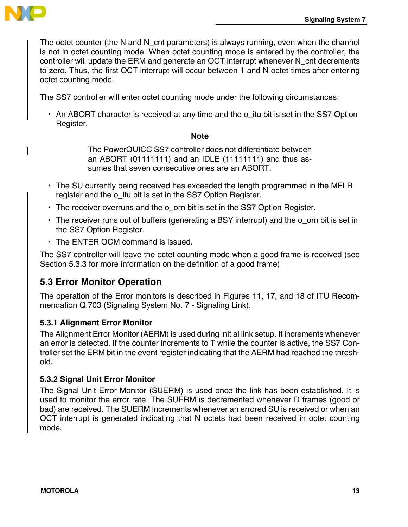

The octet counter (the N and N\_cnt parameters) is always running, even when the channel is not in octet counting mode. When octet counting mode is entered by the controller, the controller will update the ERM and generate an OCT interrupt whenever N\_cnt decrements to zero. Thus, the first OCT interrupt will occur between 1 and N octet times after entering octet counting mode.

The SS7 controller will enter octet counting mode under the following circumstances:

• An ABORT character is received at any time and the o\_itu bit is set in the SS7 Option Register.

### **Note**

The PowerQUICC SS7 controller does not differentiate between an ABORT (01111111) and an IDLE (11111111) and thus assumes that seven consecutive ones are an ABORT.

- The SU currently being received has exceeded the length programmed in the MFLR register and the o itu bit is set in the SS7 Option Register.
- The receiver overruns and the o orn bit is set in the SS7 Option Register.
- The receiver runs out of buffers (generating a BSY interrupt) and the o\_orn bit is set in the SS7 Option Register.
- The ENTER OCM command is issued.

The SS7 controller will leave the octet counting mode when a good frame is received (see Section 5.3.3 for more information on the definition of a good frame)

### **5.3 Error Monitor Operation**

The operation of the Error monitors is described in Figures 11, 17, and 18 of ITU Recommendation Q.703 (Signaling System No. 7 - Signaling Link).

### **5.3.1 Alignment Error Monitor**

The Alignment Error Monitor (AERM) is used during initial link setup. It increments whenever an error is detected. If the counter increments to T while the counter is active, the SS7 Controller set the ERM bit in the event register indicating that the AERM had reached the threshold.

### **5.3.2 Signal Unit Error Monitor**

The Signal Unit Error Monitor (SUERM) is used once the link has been established. It is used to monitor the error rate. The SUERM is decremented whenever D frames (good or bad) are received. The SUERM increments whenever an errored SU is received or when an OCT interrupt is generated indicating that N octets had been received in octet counting mode.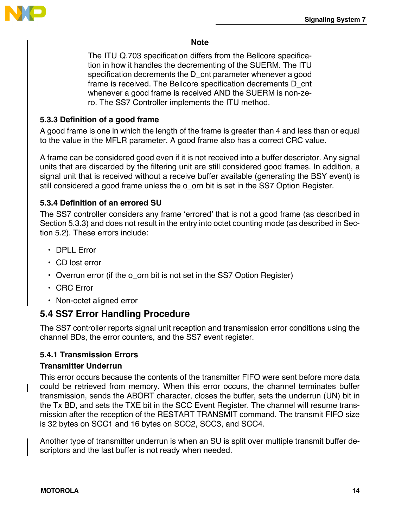

### **Note**

The ITU Q.703 specification differs from the Bellcore specification in how it handles the decrementing of the SUERM. The ITU specification decrements the D cnt parameter whenever a good frame is received. The Bellcore specification decrements D\_cnt whenever a good frame is received AND the SUERM is non-zero. The SS7 Controller implements the ITU method.

### **5.3.3 Definition of a good frame**

A good frame is one in which the length of the frame is greater than 4 and less than or equal to the value in the MFLR parameter. A good frame also has a correct CRC value.

A frame can be considered good even if it is not received into a buffer descriptor. Any signal units that are discarded by the filtering unit are still considered good frames. In addition, a signal unit that is received without a receive buffer available (generating the BSY event) is still considered a good frame unless the o\_orn bit is set in the SS7 Option Register.

### **5.3.4 Definition of an errored SU**

The SS7 controller considers any frame 'errored' that is not a good frame (as described in Section 5.3.3) and does not result in the entry into octet counting mode (as described in Section 5.2). These errors include:

- DPLL Error
- $\cdot$   $\overline{CD}$  lost error
- Overrun error (if the o orn bit is not set in the SS7 Option Register)
- CRC Error
- Non-octet aligned error

### **5.4 SS7 Error Handling Procedure**

The SS7 controller reports signal unit reception and transmission error conditions using the channel BDs, the error counters, and the SS7 event register.

### **5.4.1 Transmission Errors**

### **Transmitter Underrun**

This error occurs because the contents of the transmitter FIFO were sent before more data could be retrieved from memory. When this error occurs, the channel terminates buffer transmission, sends the ABORT character, closes the buffer, sets the underrun (UN) bit in the Tx BD, and sets the TXE bit in the SCC Event Register. The channel will resume transmission after the reception of the RESTART TRANSMIT command. The transmit FIFO size is 32 bytes on SCC1 and 16 bytes on SCC2, SCC3, and SCC4.

Another type of transmitter underrun is when an SU is split over multiple transmit buffer descriptors and the last buffer is not ready when needed.

I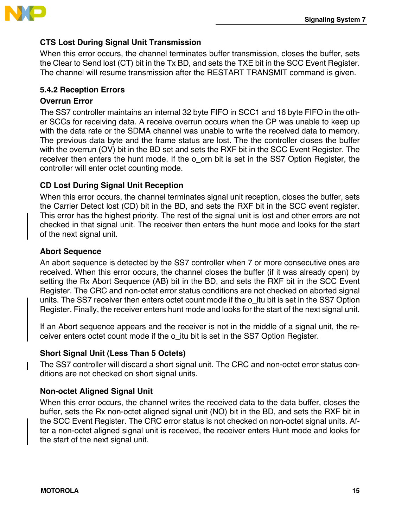

### **CTS Lost During Signal Unit Transmission**

When this error occurs, the channel terminates buffer transmission, closes the buffer, sets the Clear to Send lost (CT) bit in the Tx BD, and sets the TXE bit in the SCC Event Register. The channel will resume transmission after the RESTART TRANSMIT command is given.

### **5.4.2 Reception Errors**

### **Overrun Error**

The SS7 controller maintains an internal 32 byte FIFO in SCC1 and 16 byte FIFO in the other SCCs for receiving data. A receive overrun occurs when the CP was unable to keep up with the data rate or the SDMA channel was unable to write the received data to memory. The previous data byte and the frame status are lost. The the controller closes the buffer with the overrun (OV) bit in the BD set and sets the RXF bit in the SCC Event Register. The receiver then enters the hunt mode. If the o\_orn bit is set in the SS7 Option Register, the controller will enter octet counting mode.

### **CD Lost During Signal Unit Reception**

When this error occurs, the channel terminates signal unit reception, closes the buffer, sets the Carrier Detect lost (CD) bit in the BD, and sets the RXF bit in the SCC event register. This error has the highest priority. The rest of the signal unit is lost and other errors are not checked in that signal unit. The receiver then enters the hunt mode and looks for the start of the next signal unit.

### **Abort Sequence**

An abort sequence is detected by the SS7 controller when 7 or more consecutive ones are received. When this error occurs, the channel closes the buffer (if it was already open) by setting the Rx Abort Sequence (AB) bit in the BD, and sets the RXF bit in the SCC Event Register. The CRC and non-octet error status conditions are not checked on aborted signal units. The SS7 receiver then enters octet count mode if the o\_itu bit is set in the SS7 Option Register. Finally, the receiver enters hunt mode and looks for the start of the next signal unit.

If an Abort sequence appears and the receiver is not in the middle of a signal unit, the receiver enters octet count mode if the o\_itu bit is set in the SS7 Option Register.

### **Short Signal Unit (Less Than 5 Octets)**

The SS7 controller will discard a short signal unit. The CRC and non-octet error status conditions are not checked on short signal units.

### **Non-octet Aligned Signal Unit**

When this error occurs, the channel writes the received data to the data buffer, closes the buffer, sets the Rx non-octet aligned signal unit (NO) bit in the BD, and sets the RXF bit in the SCC Event Register. The CRC error status is not checked on non-octet signal units. After a non-octet aligned signal unit is received, the receiver enters Hunt mode and looks for the start of the next signal unit.

Ι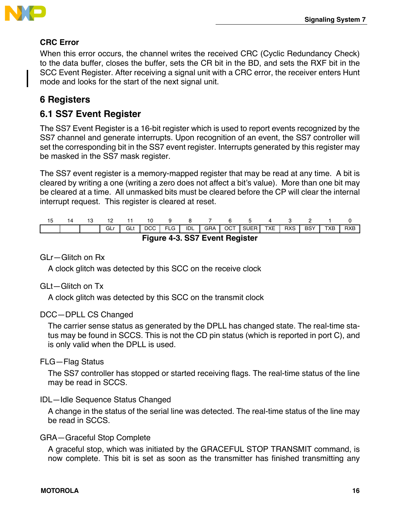

### **CRC Error**

When this error occurs, the channel writes the received CRC (Cyclic Redundancy Check) to the data buffer, closes the buffer, sets the CR bit in the BD, and sets the RXF bit in the SCC Event Register. After receiving a signal unit with a CRC error, the receiver enters Hunt mode and looks for the start of the next signal unit.

## **6 Registers**

### **6.1 SS7 Event Register**

The SS7 Event Register is a 16-bit register which is used to report events recognized by the SS7 channel and generate interrupts. Upon recognition of an event, the SS7 controller will set the corresponding bit in the SS7 event register. Interrupts generated by this register may be masked in the SS7 mask register.

The SS7 event register is a memory-mapped register that may be read at any time. A bit is cleared by writing a one (writing a zero does not affect a bit's value). More than one bit may be cleared at a time. All unmasked bits must be cleared before the CP will clear the internal interrupt request. This register is cleared at reset.

| 15 |                                |  |     |            |  |           |            |  |  |                  |     |     |            |     |            |
|----|--------------------------------|--|-----|------------|--|-----------|------------|--|--|------------------|-----|-----|------------|-----|------------|
|    |                                |  | GLr | <b>GLt</b> |  | DCC   FLG | <b>IDL</b> |  |  | GRA   OCT   SUER | TXE | RXS | <b>BSY</b> | TXB | <b>RXB</b> |
|    | Figure 4-3. SS7 Event Register |  |     |            |  |           |            |  |  |                  |     |     |            |     |            |

### GLr—Glitch on Rx

A clock glitch was detected by this SCC on the receive clock

### GLt—Glitch on Tx

A clock glitch was detected by this SCC on the transmit clock

### DCC—DPLL CS Changed

The carrier sense status as generated by the DPLL has changed state. The real-time status may be found in SCCS. This is not the CD pin status (which is reported in port C), and is only valid when the DPLL is used.

### FLG—Flag Status

The SS7 controller has stopped or started receiving flags. The real-time status of the line may be read in SCCS.

### IDL—Idle Sequence Status Changed

A change in the status of the serial line was detected. The real-time status of the line may be read in SCCS.

### GRA—Graceful Stop Complete

A graceful stop, which was initiated by the GRACEFUL STOP TRANSMIT command, is now complete. This bit is set as soon as the transmitter has finished transmitting any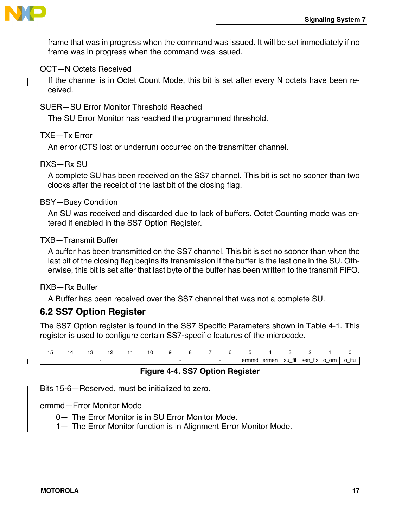

ı

frame that was in progress when the command was issued. It will be set immediately if no frame was in progress when the command was issued.

### OCT—N Octets Received

If the channel is in Octet Count Mode, this bit is set after every N octets have been received.

SUER—SU Error Monitor Threshold Reached

The SU Error Monitor has reached the programmed threshold.

### TXE—Tx Error

An error (CTS lost or underrun) occurred on the transmitter channel.

### RXS—Rx SU

A complete SU has been received on the SS7 channel. This bit is set no sooner than two clocks after the receipt of the last bit of the closing flag.

### BSY—Busy Condition

An SU was received and discarded due to lack of buffers. Octet Counting mode was entered if enabled in the SS7 Option Register.

### TXB—Transmit Buffer

A buffer has been transmitted on the SS7 channel. This bit is set no sooner than when the last bit of the closing flag begins its transmission if the buffer is the last one in the SU. Otherwise, this bit is set after that last byte of the buffer has been written to the transmit FIFO.

### RXB—Rx Buffer

 $\blacksquare$ 

A Buffer has been received over the SS7 channel that was not a complete SU.

### **6.2 SS7 Option Register**

The SS7 Option register is found in the SS7 Specific Parameters shown in Table 4-1. This register is used to configure certain SS7-specific features of the microcode.



**Figure 4-4. SS7 Option Register**

Bits 15-6—Reserved, must be initialized to zero.

ermmd—Error Monitor Mode

- 0— The Error Monitor is in SU Error Monitor Mode.
- 1— The Error Monitor function is in Alignment Error Monitor Mode.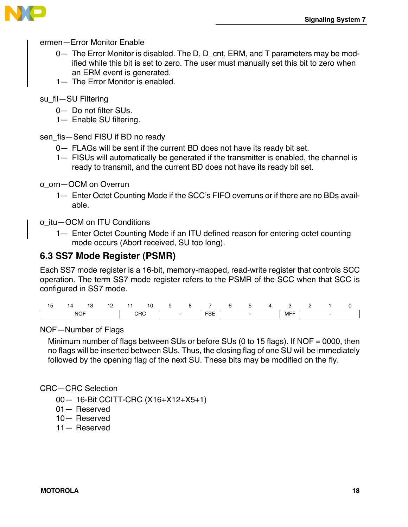

- ermen—Error Monitor Enable
	- 0— The Error Monitor is disabled. The D, D\_cnt, ERM, and T parameters may be modified while this bit is set to zero. The user must manually set this bit to zero when an ERM event is generated.
	- 1— The Frror Monitor is enabled
- su\_fil—SU Filtering
	- 0— Do not filter SUs.
	- 1— Enable SU filtering.
- sen fis-Send FISU if BD no ready
	- 0— FLAGs will be sent if the current BD does not have its ready bit set.
	- 1— FISUs will automatically be generated if the transmitter is enabled, the channel is ready to transmit, and the current BD does not have its ready bit set.
- o\_orn—OCM on Overrun
	- 1— Enter Octet Counting Mode if the SCC's FIFO overruns or if there are no BDs available.

o\_itu—OCM on ITU Conditions

1— Enter Octet Counting Mode if an ITU defined reason for entering octet counting mode occurs (Abort received, SU too long).

### **6.3 SS7 Mode Register (PSMR)**

Each SS7 mode register is a 16-bit, memory-mapped, read-write register that controls SCC operation. The term SS7 mode register refers to the PSMR of the SCC when that SCC is configured in SS7 mode.

| N          |  |     | . .    |  | 10                 | . . |     |  |  |  |  |
|------------|--|-----|--------|--|--------------------|-----|-----|--|--|--|--|
| <b>NOF</b> |  | CRC | $\sim$ |  | <b>COL</b><br>∟ט ו |     | MFF |  |  |  |  |

### NOF—Number of Flags

Minimum number of flags between SUs or before SUs (0 to 15 flags). If NOF = 0000, then no flags will be inserted between SUs. Thus, the closing flag of one SU will be immediately followed by the opening flag of the next SU. These bits may be modified on the fly.

### CRC—CRC Selection

- 00— 16-Bit CCITT-CRC (X16+X12+X5+1)
- 01— Reserved
- 10— Reserved
- 11— Reserved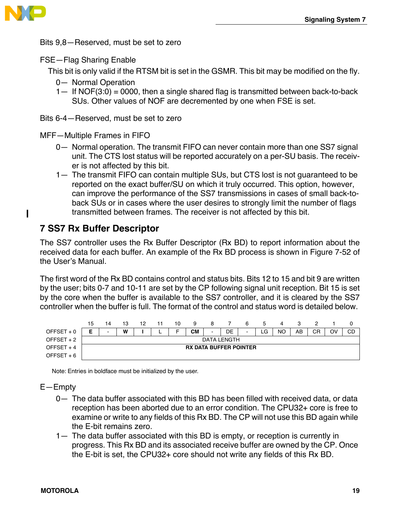

 $\mathbf I$ 

Bits 9,8—Reserved, must be set to zero

### FSE—Flag Sharing Enable

This bit is only valid if the RTSM bit is set in the GSMR. This bit may be modified on the fly.

- 0— Normal Operation
- $1-$  If NOF(3:0) = 0000, then a single shared flag is transmitted between back-to-back SUs. Other values of NOF are decremented by one when FSE is set.
- Bits 6-4—Reserved, must be set to zero

MFF—Multiple Frames in FIFO

- 0— Normal operation. The transmit FIFO can never contain more than one SS7 signal unit. The CTS lost status will be reported accurately on a per-SU basis. The receiver is not affected by this bit.
- 1— The transmit FIFO can contain multiple SUs, but CTS lost is not guaranteed to be reported on the exact buffer/SU on which it truly occurred. This option, however, can improve the performance of the SS7 transmissions in cases of small back-toback SUs or in cases where the user desires to strongly limit the number of flags transmitted between frames. The receiver is not affected by this bit.

### **7 SS7 Rx Buffer Descriptor**

The SS7 controller uses the Rx Buffer Descriptor (Rx BD) to report information about the received data for each buffer. An example of the Rx BD process is shown in Figure 7-52 of the User's Manual.

The first word of the Rx BD contains control and status bits. Bits 12 to 15 and bit 9 are written by the user; bits 0-7 and 10-11 are set by the CP following signal unit reception. Bit 15 is set by the core when the buffer is available to the SS7 controller, and it is cleared by the SS7 controller when the buffer is full. The format of the control and status word is detailed below.

|             | 15 |                               | 13 | 12 | 11 | 10 | 9  | 8      |    | 6              | ა   | 4  |    |    |    |    |
|-------------|----|-------------------------------|----|----|----|----|----|--------|----|----------------|-----|----|----|----|----|----|
| OFFSET + 0  |    | -                             | w  |    |    |    | CМ | $\sim$ | DE | $\blacksquare$ | LG. | NO | AB | CR | OV | CD |
| OFFSET + 2  |    | DATA LENGTH                   |    |    |    |    |    |        |    |                |     |    |    |    |    |    |
| OFFSET $+4$ |    | <b>RX DATA BUFFER POINTER</b> |    |    |    |    |    |        |    |                |     |    |    |    |    |    |
| OFFSET $+6$ |    |                               |    |    |    |    |    |        |    |                |     |    |    |    |    |    |

Note: Entries in boldface must be initialized by the user.

E—Empty

- 0— The data buffer associated with this BD has been filled with received data, or data reception has been aborted due to an error condition. The CPU32+ core is free to examine or write to any fields of this Rx BD. The CP will not use this BD again while the E-bit remains zero.
- 1— The data buffer associated with this BD is empty, or reception is currently in progress. This Rx BD and its associated receive buffer are owned by the CP. Once the E-bit is set, the CPU32+ core should not write any fields of this Rx BD.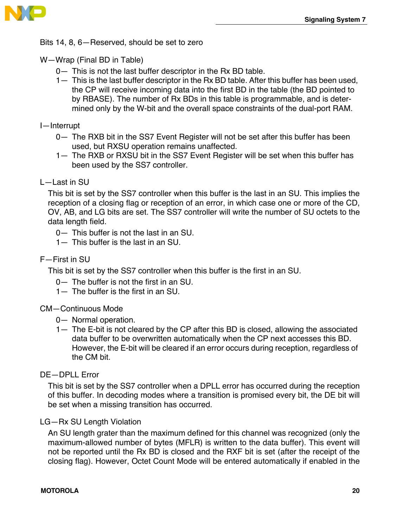

Bits 14, 8, 6—Reserved, should be set to zero

W—Wrap (Final BD in Table)

- 0— This is not the last buffer descriptor in the Rx BD table.
- 1— This is the last buffer descriptor in the Rx BD table. After this buffer has been used, the CP will receive incoming data into the first BD in the table (the BD pointed to by RBASE). The number of Rx BDs in this table is programmable, and is determined only by the W-bit and the overall space constraints of the dual-port RAM.

I—Interrupt

- 0— The RXB bit in the SS7 Event Register will not be set after this buffer has been used, but RXSU operation remains unaffected.
- 1— The RXB or RXSU bit in the SS7 Event Register will be set when this buffer has been used by the SS7 controller.

### L—Last in SU

This bit is set by the SS7 controller when this buffer is the last in an SU. This implies the reception of a closing flag or reception of an error, in which case one or more of the CD, OV, AB, and LG bits are set. The SS7 controller will write the number of SU octets to the data length field.

- 0— This buffer is not the last in an SU.
- 1— This buffer is the last in an SU.

### F—First in SU

This bit is set by the SS7 controller when this buffer is the first in an SU.

- 0— The buffer is not the first in an SU.
- 1— The buffer is the first in an SU.

### CM—Continuous Mode

- 0— Normal operation.
- 1— The E-bit is not cleared by the CP after this BD is closed, allowing the associated data buffer to be overwritten automatically when the CP next accesses this BD. However, the E-bit will be cleared if an error occurs during reception, regardless of the CM bit.

### DE—DPLL Error

This bit is set by the SS7 controller when a DPLL error has occurred during the reception of this buffer. In decoding modes where a transition is promised every bit, the DE bit will be set when a missing transition has occurred.

### LG—Rx SU Length Violation

An SU length grater than the maximum defined for this channel was recognized (only the maximum-allowed number of bytes (MFLR) is written to the data buffer). This event will not be reported until the Rx BD is closed and the RXF bit is set (after the receipt of the closing flag). However, Octet Count Mode will be entered automatically if enabled in the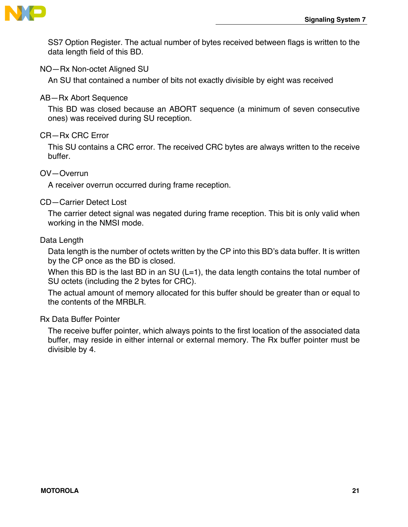

SS7 Option Register. The actual number of bytes received between flags is written to the data length field of this BD.

### NO—Rx Non-octet Aligned SU

An SU that contained a number of bits not exactly divisible by eight was received

### AB—Rx Abort Sequence

This BD was closed because an ABORT sequence (a minimum of seven consecutive ones) was received during SU reception.

### CR—Rx CRC Error

This SU contains a CRC error. The received CRC bytes are always written to the receive buffer.

### OV—Overrun

A receiver overrun occurred during frame reception.

### CD—Carrier Detect Lost

The carrier detect signal was negated during frame reception. This bit is only valid when working in the NMSI mode.

#### Data Length

Data length is the number of octets written by the CP into this BD's data buffer. It is written by the CP once as the BD is closed.

When this BD is the last BD in an SU  $(L=1)$ , the data length contains the total number of SU octets (including the 2 bytes for CRC).

The actual amount of memory allocated for this buffer should be greater than or equal to the contents of the MRBLR.

### Rx Data Buffer Pointer

The receive buffer pointer, which always points to the first location of the associated data buffer, may reside in either internal or external memory. The Rx buffer pointer must be divisible by 4.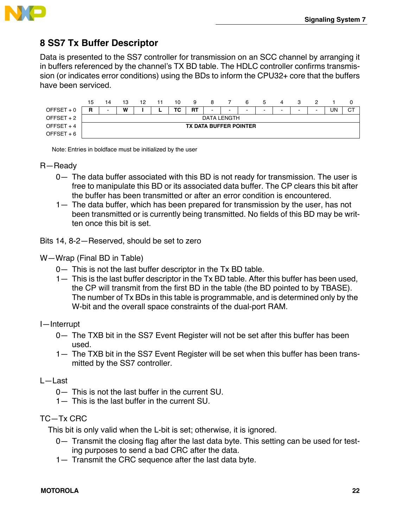

### **8 SS7 Tx Buffer Descriptor**

Data is presented to the SS7 controller for transmission on an SCC channel by arranging it in buffers referenced by the channel's TX BD table. The HDLC controller confirms transmission (or indicates error conditions) using the BDs to inform the CPU32+ core that the buffers have been serviced.



Note: Entries in boldface must be initialized by the user

#### R—Ready

- 0— The data buffer associated with this BD is not ready for transmission. The user is free to manipulate this BD or its associated data buffer. The CP clears this bit after the buffer has been transmitted or after an error condition is encountered.
- 1— The data buffer, which has been prepared for transmission by the user, has not been transmitted or is currently being transmitted. No fields of this BD may be written once this bit is set.

Bits 14, 8-2—Reserved, should be set to zero

- W—Wrap (Final BD in Table)
	- 0— This is not the last buffer descriptor in the Tx BD table.
	- 1— This is the last buffer descriptor in the Tx BD table. After this buffer has been used, the CP will transmit from the first BD in the table (the BD pointed to by TBASE). The number of Tx BDs in this table is programmable, and is determined only by the W-bit and the overall space constraints of the dual-port RAM.
- I—Interrupt
	- 0— The TXB bit in the SS7 Event Register will not be set after this buffer has been used.
	- 1— The TXB bit in the SS7 Event Register will be set when this buffer has been transmitted by the SS7 controller.
- L—Last
	- 0— This is not the last buffer in the current SU.
	- 1— This is the last buffer in the current SU.

### TC—Tx CRC

This bit is only valid when the L-bit is set; otherwise, it is ignored.

- 0— Transmit the closing flag after the last data byte. This setting can be used for testing purposes to send a bad CRC after the data.
- 1— Transmit the CRC sequence after the last data byte.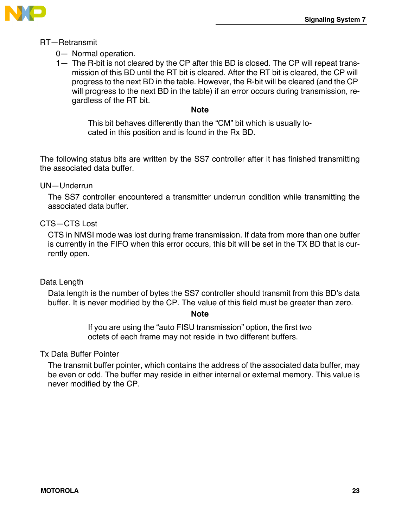

### RT—Retransmit

- 0— Normal operation.
- 1— The R-bit is not cleared by the CP after this BD is closed. The CP will repeat transmission of this BD until the RT bit is cleared. After the RT bit is cleared, the CP will progress to the next BD in the table. However, the R-bit will be cleared (and the CP will progress to the next BD in the table) if an error occurs during transmission, regardless of the RT bit.

### **Note**

This bit behaves differently than the "CM" bit which is usually located in this position and is found in the Rx BD.

The following status bits are written by the SS7 controller after it has finished transmitting the associated data buffer.

### UN—Underrun

The SS7 controller encountered a transmitter underrun condition while transmitting the associated data buffer.

### CTS—CTS Lost

CTS in NMSI mode was lost during frame transmission. If data from more than one buffer is currently in the FIFO when this error occurs, this bit will be set in the TX BD that is currently open.

### Data Length

Data length is the number of bytes the SS7 controller should transmit from this BD's data buffer. It is never modified by the CP. The value of this field must be greater than zero.

### **Note**

If you are using the "auto FISU transmission" option, the first two octets of each frame may not reside in two different buffers.

### Tx Data Buffer Pointer

The transmit buffer pointer, which contains the address of the associated data buffer, may be even or odd. The buffer may reside in either internal or external memory. This value is never modified by the CP.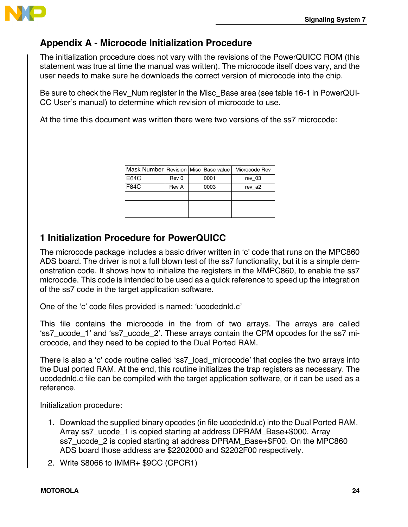

## **Appendix A - Microcode Initialization Procedure**

The initialization procedure does not vary with the revisions of the PowerQUICC ROM (this statement was true at time the manual was written). The microcode itself does vary, and the user needs to make sure he downloads the correct version of microcode into the chip.

Be sure to check the Rev\_Num register in the Misc\_Base area (see table 16-1 in PowerQUI-CC User's manual) to determine which revision of microcode to use.

At the time this document was written there were two versions of the ss7 microcode:

|             |       | Mask Number   Revision   Misc_Base value | Microcode Rev |
|-------------|-------|------------------------------------------|---------------|
| E64C        | Rev 0 | 0001                                     | rev 03        |
| <b>F84C</b> | Rev A | 0003                                     | rev a2        |
|             |       |                                          |               |
|             |       |                                          |               |
|             |       |                                          |               |

### **1 Initialization Procedure for PowerQUICC**

The microcode package includes a basic driver written in 'c' code that runs on the MPC860 ADS board. The driver is not a full blown test of the ss7 functionality, but it is a simple demonstration code. It shows how to initialize the registers in the MMPC860, to enable the ss7 microcode. This code is intended to be used as a quick reference to speed up the integration of the ss7 code in the target application software.

One of the 'c' code files provided is named: 'ucodednld.c'

This file contains the microcode in the from of two arrays. The arrays are called 'ss7\_ucode\_1' and 'ss7\_ucode\_2'. These arrays contain the CPM opcodes for the ss7 microcode, and they need to be copied to the Dual Ported RAM.

There is also a 'c' code routine called 'ss7\_load\_microcode' that copies the two arrays into the Dual ported RAM. At the end, this routine initializes the trap registers as necessary. The ucodednld.c file can be compiled with the target application software, or it can be used as a reference.

Initialization procedure:

- 1. Download the supplied binary opcodes (in file ucodednld.c) into the Dual Ported RAM. Array ss7\_ucode\_1 is copied starting at address DPRAM\_Base+\$000. Array ss7\_ucode\_2 is copied starting at address DPRAM\_Base+\$F00. On the MPC860 ADS board those address are \$2202000 and \$2202F00 respectively.
- 2. Write \$8066 to IMMR+ \$9CC (CPCR1)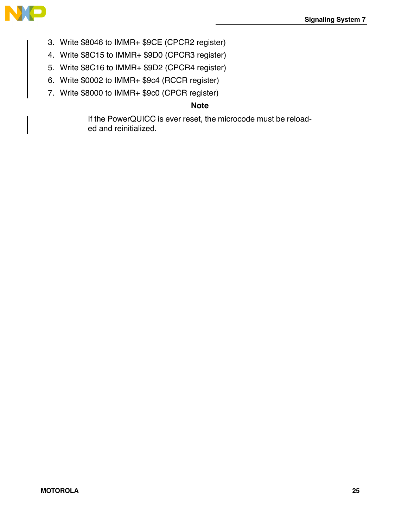

- 3. Write \$8046 to IMMR+ \$9CE (CPCR2 register)
- 4. Write \$8C15 to IMMR+ \$9D0 (CPCR3 register)
- 5. Write \$8C16 to IMMR+ \$9D2 (CPCR4 register)
- 6. Write \$0002 to IMMR+ \$9c4 (RCCR register)
- 7. Write \$8000 to IMMR+ \$9c0 (CPCR register)

### **Note**

If the PowerQUICC is ever reset, the microcode must be reloaded and reinitialized.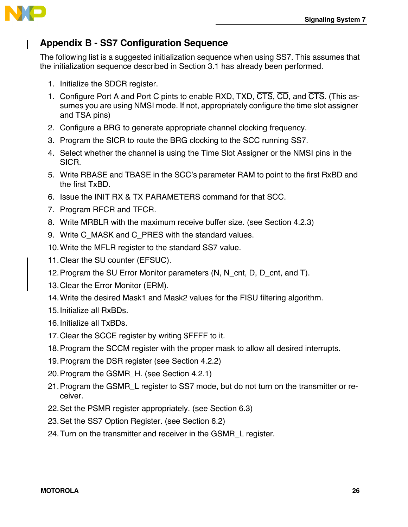

## **Appendix B - SS7 Configuration Sequence**

The following list is a suggested initialization sequence when using SS7. This assumes that the initialization sequence described in Section 3.1 has already been performed.

- 1. Initialize the SDCR register.
- 1. Configure Port A and Port C pints to enable RXD, TXD, CTS, CD, and CTS. (This assumes you are using NMSI mode. If not, appropriately configure the time slot assigner and TSA pins)
- 2. Configure a BRG to generate appropriate channel clocking frequency.
- 3. Program the SICR to route the BRG clocking to the SCC running SS7.
- 4. Select whether the channel is using the Time Slot Assigner or the NMSI pins in the SICR.
- 5. Write RBASE and TBASE in the SCC's parameter RAM to point to the first RxBD and the first TxBD.
- 6. Issue the INIT RX & TX PARAMETERS command for that SCC.
- 7. Program RFCR and TFCR.
- 8. Write MRBLR with the maximum receive buffer size. (see Section 4.2.3)
- 9. Write C\_MASK and C\_PRES with the standard values.
- 10.Write the MFLR register to the standard SS7 value.
- 11.Clear the SU counter (EFSUC).
- 12.Program the SU Error Monitor parameters (N, N\_cnt, D, D\_cnt, and T).
- 13.Clear the Error Monitor (ERM).
- 14.Write the desired Mask1 and Mask2 values for the FISU filtering algorithm.
- 15.Initialize all RxBDs.
- 16.Initialize all TxBDs.
- 17.Clear the SCCE register by writing \$FFFF to it.
- 18.Program the SCCM register with the proper mask to allow all desired interrupts.
- 19.Program the DSR register (see Section 4.2.2)
- 20.Program the GSMR\_H. (see Section 4.2.1)
- 21.Program the GSMR\_L register to SS7 mode, but do not turn on the transmitter or receiver.
- 22.Set the PSMR register appropriately. (see Section 6.3)
- 23.Set the SS7 Option Register. (see Section 6.2)
- 24.Turn on the transmitter and receiver in the GSMR\_L register.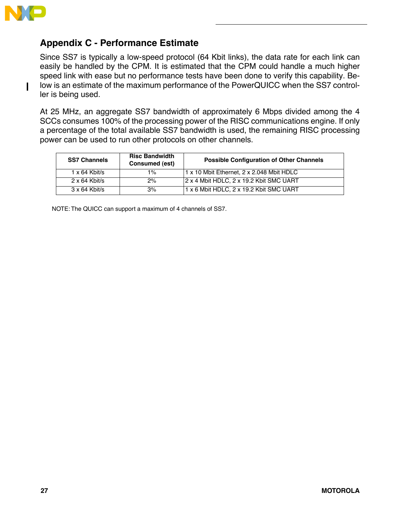

П

### **Appendix C - Performance Estimate**

Since SS7 is typically a low-speed protocol (64 Kbit links), the data rate for each link can easily be handled by the CPM. It is estimated that the CPM could handle a much higher speed link with ease but no performance tests have been done to verify this capability. Below is an estimate of the maximum performance of the PowerQUICC when the SS7 controller is being used.

At 25 MHz, an aggregate SS7 bandwidth of approximately 6 Mbps divided among the 4 SCCs consumes 100% of the processing power of the RISC communications engine. If only a percentage of the total available SS7 bandwidth is used, the remaining RISC processing power can be used to run other protocols on other channels.

| <b>SS7 Channels</b>  | <b>Risc Bandwidth</b><br>Consumed (est) | <b>Possible Configuration of Other Channels</b> |
|----------------------|-----------------------------------------|-------------------------------------------------|
| $1 \times 64$ Kbit/s | $1\%$                                   | 1 x 10 Mbit Ethernet, 2 x 2.048 Mbit HDLC       |
| $2 \times 64$ Kbit/s | 2%                                      | 2 x 4 Mbit HDLC, 2 x 19.2 Kbit SMC UART         |
| $3 \times 64$ Kbit/s | 3%                                      | 1 x 6 Mbit HDLC. 2 x 19.2 Kbit SMC UART         |

NOTE: The QUICC can support a maximum of 4 channels of SS7.